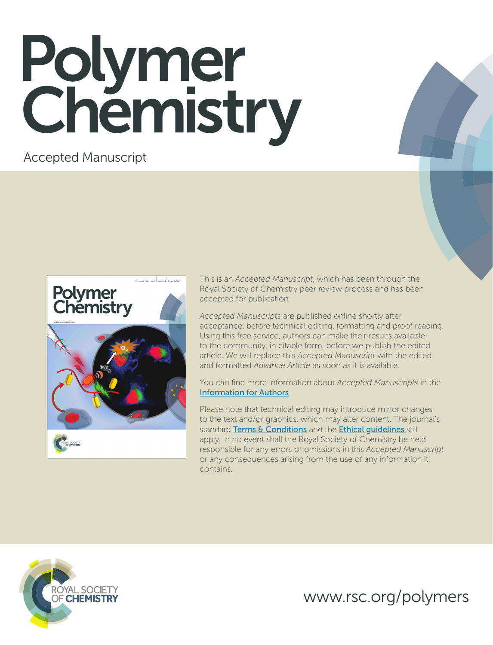# Polymer Chemistry

Accepted Manuscript



This is an *Accepted Manuscript*, which has been through the Royal Society of Chemistry peer review process and has been accepted for publication.

*Accepted Manuscripts* are published online shortly after acceptance, before technical editing, formatting and proof reading. Using this free service, authors can make their results available to the community, in citable form, before we publish the edited article. We will replace this *Accepted Manuscript* with the edited and formatted *Advance Article* as soon as it is available.

You can find more information about *Accepted Manuscripts* in the [Information for Authors](http://www.rsc.org/Publishing/Journals/guidelines/AuthorGuidelines/JournalPolicy/accepted_manuscripts.asp).

Please note that technical editing may introduce minor changes to the text and/or graphics, which may alter content. The journal's standard [Terms & Conditions](http://www.rsc.org/help/termsconditions.asp) and the Ethical quidelines still apply. In no event shall the Royal Society of Chemistry be held responsible for any errors or omissions in this *Accepted Manuscript* or any consequences arising from the use of any information it contains.



www.rsc.org/polymers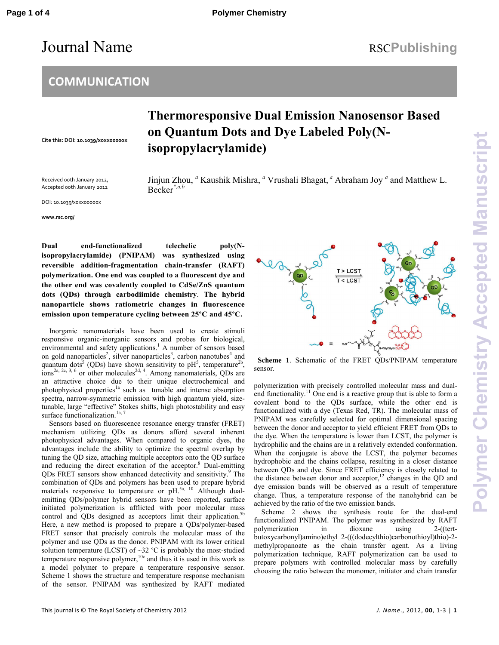## Journal Name RSCPublishing

#### **COMMUNICATION**

**Cite this: DOI: 10.1039/x0xx00000x** 

### **Thermoresponsive Dual Emission Nanosensor Based on Quantum Dots and Dye Labeled Poly(Nisopropylacrylamide)**

Received 00th January 2012, Accepted 00th January 2012

Jinjun Zhou, *<sup>a</sup>* Kaushik Mishra, *<sup>a</sup>* Vrushali Bhagat,*<sup>a</sup>* Abraham Joy *<sup>a</sup>* and Matthew L. Becker*\*,a,b*

DOI: 10.1039/x0xx00000x

**www.rsc.org/**

**Dual end-functionalized telechelic poly(Nisopropylacrylamide) (PNIPAM) was synthesized using reversible addition-fragmentation chain-transfer (RAFT) polymerization. One end was coupled to a fluorescent dye and the other end was covalently coupled to CdSe/ZnS quantum dots (QDs) through carbodiimide chemistry**. **The hybrid nanoparticle shows ratiometric changes in fluorescence emission upon temperature cycling between 25°C and 45°C.**

Inorganic nanomaterials have been used to create stimuli responsive organic-inorganic sensors and probes for biological, environmental and safety applications.<sup>1</sup> A number of sensors based on gold nanoparticles<sup>2</sup>, silver nanoparticles<sup>3</sup>, carbon nanotubes<sup>4</sup> and quantum dots<sup>5</sup> (QDs) have shown sensitivity to  $pH<sup>5</sup>$ , temperature<sup>2b</sup>,  $\lim_{x \to 0}$   $\int e^{2a^2/2c^2/3}$ , 6 or other molecules<sup>2d, 4</sup>. Among nanomaterials, QDs are an attractive choice due to their unique electrochemical and photophysical properties<sup>1a</sup> such as tunable and intense absorption spectra, narrow-symmetric emission with high quantum yield, sizetunable, large "effective" Stokes shifts, high photostability and easy surface functionalization.<sup>1a, 7</sup>

Sensors based on fluorescence resonance energy transfer (FRET) mechanism utilizing QDs as donors afford several inherent photophysical advantages. When compared to organic dyes, the advantages include the ability to optimize the spectral overlap by tuning the QD size, attaching multiple acceptors onto the QD surface and reducing the direct excitation of the acceptor.<sup>8</sup> Dual-emitting QDs FRET sensors show enhanced detectivity and sensitivity.<sup>9</sup> The combination of QDs and polymers has been used to prepare hybrid materials responsive to temperature or pH.<sup>5a, 10</sup> Although dualemitting QDs/polymer hybrid sensors have been reported, surface initiated polymerization is afflicted with poor molecular mass control and ODs designed as acceptors limit their application.<sup>5</sup> Here, a new method is proposed to prepare a QDs/polymer-based FRET sensor that precisely controls the molecular mass of the polymer and use QDs as the donor. PNIPAM with its lower critical solution temperature (LCST) of  $\sim$ 32 °C is probably the most-studied temperature responsive polymer,<sup>10c</sup> and thus it is used in this work as a model polymer to prepare a temperature responsive sensor. Scheme 1 shows the structure and temperature response mechanism of the sensor. PNIPAM was synthesized by RAFT mediated



 **Scheme 1**. Schematic of the FRET QDs/PNIPAM temperature sensor.

polymerization with precisely controlled molecular mass and dualend functionality.<sup>11</sup> One end is a reactive group that is able to form a covalent bond to the QDs surface, while the other end is functionalized with a dye (Texas Red, TR). The molecular mass of PNIPAM was carefully selected for optimal dimensional spacing between the donor and acceptor to yield efficient FRET from QDs to the dye. When the temperature is lower than LCST, the polymer is hydrophilic and the chains are in a relatively extended conformation. When the conjugate is above the LCST, the polymer becomes hydrophobic and the chains collapse, resulting in a closer distance between QDs and dye. Since FRET efficiency is closely related to the distance between donor and acceptor, $12$  changes in the QD and dye emission bands will be observed as a result of temperature change. Thus, a temperature response of the nanohybrid can be achieved by the ratio of the two emission bands.

 Scheme 2 shows the synthesis route for the dual-end functionalized PNIPAM. The polymer was synthesized by RAFT polymerization in dioxane using 2-((tertbutoxycarbonyl)amino)ethyl 2-(((dodecylthio)carbonothioyl)thio)-2 methylpropanoate as the chain transfer agent. As a living polymerization technique, RAFT polymerization can be used to prepare polymers with controlled molecular mass by carefully choosing the ratio between the monomer, initiator and chain transfer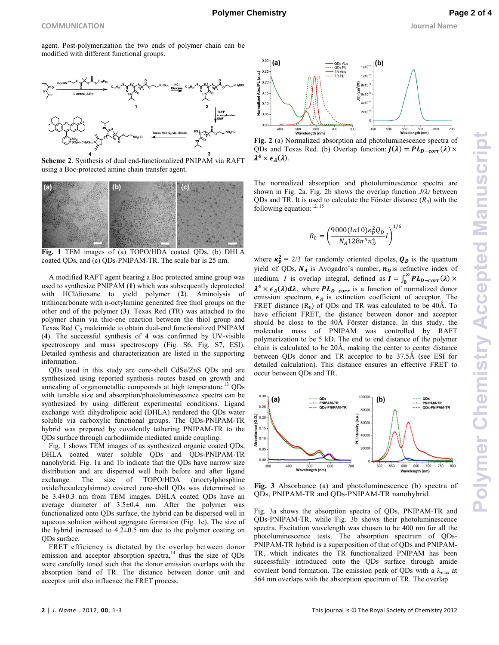agent. Post-polymerization the two ends of polymer chain can be modified with different functional groups.



**Scheme 2**. Synthesis of dual end-functionalized PNIPAM via RAFT using a Boc-protected amine chain transfer agent.



**Fig. 1** TEM images of (a) TOPO/HDA coated QDs, (b) DHLA coated QDs, and (c) QDs-PNIPAM-TR. The scale bar is 25 nm.

A modified RAFT agent bearing a Boc protected amine group was used to synthesize PNIPAM (**1**) which was subsequently deprotected with HCl/dioxane to yield polymer (**2**). Aminolysis of trithiocarbonate with n-octylamine generated free thiol groups on the other end of the polymer (**3**). Texas Red (TR) was attached to the polymer chain via thio-ene reaction between the thiol group and Texas Red  $C_2$  maleimide to obtain dual-end functionalized PNIPAM (**4**). The successful synthesis of **4** was confirmed by UV-visible spectroscopy and mass spectroscopy (Fig. S6, Fig. S7, ESI). Detailed synthesis and characterization are listed in the supporting information.

 QDs used in this study are core-shell CdSe/ZnS QDs and are synthesized using reported synthesis routes based on growth and annealing of organometallic compounds at high temperature.<sup>13</sup> ODs with tunable size and absorption/photoluminescence spectra can be synthesized by using different experimental conditions. Ligand exchange with dihydrolipoic acid (DHLA) rendered the QDs water soluble via carboxylic functional groups. The QDs-PNIPAM-TR hybrid was prepared by covalently tethering PNIPAM-TR to the QDs surface through carbodiimide mediated amide coupling.

Fig. 1 shows TEM images of as synthesized organic coated QDs, DHLA coated water soluble QDs and QDs-PNIPAM-TR nanohybrid. Fig. 1a and 1b indicate that the QDs have narrow size distribution and are dispersed well both before and after ligand exchange. The size of TOPO/HDA (trioctylphosphine oxide/hexadecylaimne) covered core-shell QDs was determined to be 3.4±0.3 nm from TEM images. DHLA coated QDs have an average diameter of 3.5±0.4 nm. After the polymer was functionalized onto QDs surface, the hybrid can be dispersed well in aqueous solution without aggregate formation (Fig. 1c). The size of the hybrid increased to  $4.2\pm0.5$  nm due to the polymer coating on QDs surface.

FRET efficiency is dictated by the overlap between donor emission and acceptor absorption spectra, $14$  thus the size of QDs were carefully tuned such that the donor emission overlaps with the absorption band of TR. The distance between donor unit and acceptor unit also influence the FRET process.





The normalized absorption and photoluminescence spectra are shown in Fig. 2a. Fig. 2b shows the overlap function  $J(\lambda)$  between QDs and TR. It is used to calculate the Förster distance  $(R_0)$  with the following equation: $12, 15$ 

$$
R_0 = \left(\frac{9000(ln10) \kappa_p^2 Q_D}{N_A 128 \pi^5 n_D^4} I\right)^{1/6}
$$

where  $\kappa_p^2 = 2/3$  for randomly oriented dipoles,  $Q_p$  is the quantum yield of QDs,  $N_A$  is Avogadro's number,  $n_D$  is refractive index of medium. *I* is overlap integral, defined as  $I = \int_0^\infty PL_{D-corr}(\lambda) \times$  $\boldsymbol{0}$  $\lambda^4 \times \epsilon_A(\lambda) d\lambda$ , where  $PL_{D-corr}$  is a function of normalized donor emission spectrum,  $\epsilon_A$  is extinction coefficient of acceptor. The FRET distance  $(R_0)$  of QDs and TR was calculated to be 40Å. To have efficient FRET, the distance between donor and acceptor should be close to the  $40\text{\AA}$  Förster distance. In this study, the molecular mass of PNIPAM was controlled by RAFT polymerization to be 5 kD. The end to end distance of the polymer chain is calculated to be 20Å, making the center to center distance between QDs donor and TR acceptor to be 37.5Å (see ESI for detailed calculation). This distance ensures an effective FRET to occur between QDs and TR.



 $0.30$ 100000  $(a)$  $(b)$ NIPAM-TR  $0.25$ AM-TR 80000  $\frac{1}{9}$  0.20 60000  $90.15$ atar 40000  $0.10$  $\vec{a}$ 2000 0.05  $0.00$ 400 500<br>Jenath (nm) 600  $650$  $700$ Way ngth (nm)

**Fig. 3** Absorbance (a) and photoluminescence (b) spectra of QDs, PNIPAM-TR and QDs-PNIPAM-TR nanohybrid.

Fig. 3a shows the absorption spectra of QDs, PNIPAM-TR and QDs-PNIPAM-TR, while Fig. 3b shows their photoluminescence spectra. Excitation wavelength was chosen to be 400 nm for all the photoluminescence tests. The absorption spectrum of QDs-PNIPAM-TR hybrid is a superposition of that of QDs and PNIPAM-TR, which indicates the TR functionalized PNIPAM has been successfully introduced onto the QDs surface through amide covalent bond formation. The emission peak of QDs with a  $\lambda_{\text{max}}$  at 564 nm overlaps with the absorption spectrum of TR. The overlap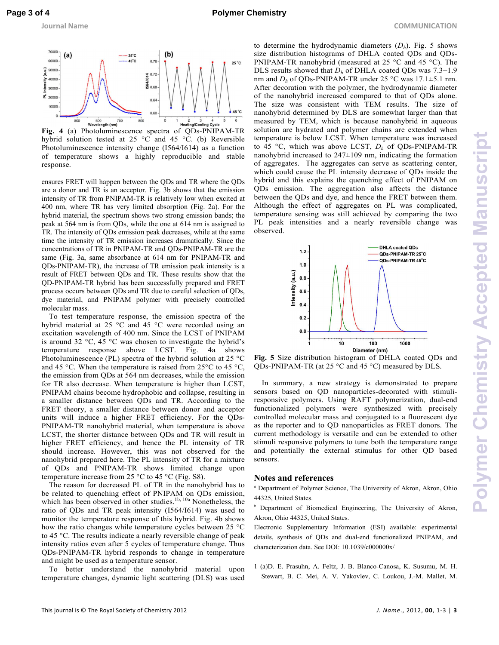

**Fig. 4** (a) Photoluminescence spectra of QDs-PNIPAM-TR hybrid solution tested at 25 °C and 45 °C. (b) Reversible Photoluminescence intensity change (I564/I614) as a function of temperature shows a highly reproducible and stable response.

ensures FRET will happen between the QDs and TR where the QDs are a donor and TR is an acceptor. Fig. 3b shows that the emission intensity of TR from PNIPAM-TR is relatively low when excited at 400 nm, where TR has very limited absorption (Fig. 2a). For the hybrid material, the spectrum shows two strong emission bands; the peak at 564 nm is from QDs, while the one at 614 nm is assigned to TR. The intensity of QDs emission peak decreases, while at the same time the intensity of TR emission increases dramatically. Since the concentrations of TR in PNIPAM-TR and QDs-PNIPAM-TR are the same (Fig. 3a, same absorbance at 614 nm for PNIPAM-TR and QDs-PNIPAM-TR), the increase of TR emission peak intensity is a result of FRET between QDs and TR. These results show that the QD-PNIPAM-TR hybrid has been successfully prepared and FRET process occurs between QDs and TR due to careful selection of QDs, dye material, and PNIPAM polymer with precisely controlled molecular mass.

To test temperature response, the emission spectra of the hybrid material at 25 °C and 45 °C were recorded using an excitation wavelength of 400 nm. Since the LCST of PNIPAM is around 32  $\degree$ C, 45  $\degree$ C was chosen to investigate the hybrid's temperature response above LCST. Fig. 4a shows Photoluminescence (PL) spectra of the hybrid solution at 25 °C and 45 °C. When the temperature is raised from  $25^{\circ}$ C to 45 °C, the emission from QDs at 564 nm decreases, while the emission for TR also decrease. When temperature is higher than LCST, PNIPAM chains become hydrophobic and collapse, resulting in a smaller distance between QDs and TR. According to the FRET theory, a smaller distance between donor and acceptor units will induce a higher FRET efficiency. For the QDs-PNIPAM-TR nanohybrid material, when temperature is above LCST, the shorter distance between QDs and TR will result in higher FRET efficiency, and hence the PL intensity of TR should increase. However, this was not observed for the nanohybrid prepared here. The PL intensity of TR for a mixture of QDs and PNIPAM-TR shows limited change upon temperature increase from 25  $\degree$ C to 45  $\degree$ C (Fig. S8).

The reason for decreased PL of TR in the nanohybrid has to be related to quenching effect of PNIPAM on QDs emission, which has been observed in other studies.<sup>1b, 10a</sup> Nonetheless, the ratio of QDs and TR peak intensity (I564/I614) was used to monitor the temperature response of this hybrid. Fig. 4b shows how the ratio changes while temperature cycles between 25 °C to 45 °C. The results indicate a nearly reversible change of peak intensity ratios even after 5 cycles of temperature change. Thus QDs-PNIPAM-TR hybrid responds to change in temperature and might be used as a temperature sensor.

To better understand the nanohybrid material upon temperature changes, dynamic light scattering (DLS) was used

to determine the hydrodynamic diameters  $(D_h)$ . Fig. 5 shows size distribution histograms of DHLA coated QDs and QDs-PNIPAM-TR nanohybrid (measured at 25 °C and 45 °C). The DLS results showed that  $D_h$  of DHLA coated QDs was  $7.3 \pm 1.9$ nm and *D<sup>h</sup>* of QDs-PNIPAM-TR under 25 °C was 17.1±5.1 nm. After decoration with the polymer, the hydrodynamic diameter of the nanohybrid increased compared to that of QDs alone. The size was consistent with TEM results. The size of nanohybrid determined by DLS are somewhat larger than that measured by TEM, which is because nanohybrid in aqueous solution are hydrated and polymer chains are extended when temperature is below LCST. When temperature was increased to 45 °C, which was above LCST, *D<sup>h</sup>* of QDs-PNIPAM-TR nanohybrid increased to  $247\pm109$  nm, indicating the formation of aggregates. The aggregates can serve as scattering center, which could cause the PL intensity decrease of QDs inside the hybrid and this explains the quenching effect of PNIPAM on QDs emission. The aggregation also affects the distance between the QDs and dye, and hence the FRET between them. Although the effect of aggregates on PL was complicated, temperature sensing was still achieved by comparing the two PL peak intensities and a nearly reversible change was observed.



**Fig. 5** Size distribution histogram of DHLA coated QDs and QDs-PNIPAM-TR (at 25 °C and 45 °C) measured by DLS.

 In summary, a new strategy is demonstrated to prepare sensors based on QD nanoparticles-decorated with stimuliresponsive polymers. Using RAFT polymerization, dual-end functionalized polymers were synthesized with precisely controlled molecular mass and conjugated to a fluorescent dye as the reporter and to QD nanoparticles as FRET donors. The current methodology is versatile and can be extended to other stimuli responsive polymers to tune both the temperature range and potentially the external stimulus for other QD based sensors.

#### **Notes and references**

- *a* Department of Polymer Science, The University of Akron, Akron, Ohio 44325, United States.
- *b* Department of Biomedical Engineering, The University of Akron, Akron, Ohio 44325, United States.

Electronic Supplementary Information (ESI) available: experimental details, synthesis of QDs and dual-end functionalized PNIPAM, and characterization data. See DOI: 10.1039/c000000x/

1 (a)D. E. Prasuhn, A. Feltz, J. B. Blanco-Canosa, K. Susumu, M. H. Stewart, B. C. Mei, A. V. Yakovlev, C. Loukou, J.-M. Mallet, M.